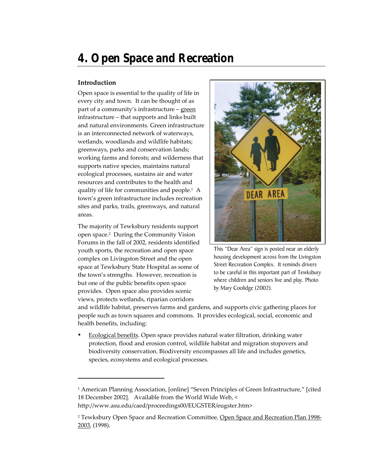# **4. Open Space and Recreation**

## **Introduction**

-

Open space is essential to the quality of life in every city and town. It can be thought of as part of a community's infrastructure – green infrastructure – that supports and links built and natural environments. Green infrastructure is an interconnected network of waterways, wetlands, woodlands and wildlife habitats; greenways, parks and conservation lands; working farms and forests; and wilderness that supports native species, maintains natural ecological processes, sustains air and water resources and contributes to the health and quality of life for communities and people.<sup>1</sup> A town's green infrastructure includes recreation sites and parks, trails, greenways, and natural areas.

The majority of Tewksbury residents support open space.<sup>2</sup> During the Community Vision Forums in the fall of 2002, residents identified youth sports, the recreation and open space complex on Livingston Street and the open space at Tewksbury State Hospital as some of the town's strengths. However, recreation is but one of the public benefits open space provides. Open space also provides scenic views, protects wetlands, riparian corridors



This "Dear Area" sign is posted near an elderly housing development across from the Livingston Street Recreation Complex. It reminds drivers to be careful in this important part of Tewksbury where children and seniors live and play. Photo by Mary Coolidge (2002).

and wildlife habitat, preserves farms and gardens, and supports civic gathering places for people such as town squares and commons. It provides ecological, social, economic and health benefits, including:

ü Ecological benefits. Open space provides natural water filtration, drinking water protection, flood and erosion control, wildlife habitat and migration stopovers and biodiversity conservation. Biodiversity encompasses all life and includes genetics, species, ecosystems and ecological processes.

1 American Planning Association, [online] "Seven Principles of Green Infrastructure," [cited 18 December 2002]. Available from the World Wide Web, < http://www.asu.edu/caed/proceedings00/EUGSTER/eugster.htm>

<sup>&</sup>lt;sup>2</sup> Tewksbury Open Space and Recreation Committee, <u>Open Space and Recreation Plan 1998-</u> 2003*,* (1998).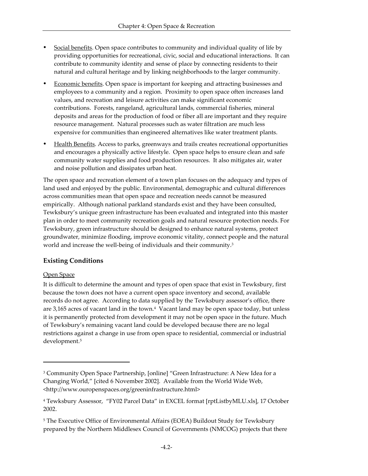- Social benefits. Open space contributes to community and individual quality of life by providing opportunities for recreational, civic, social and educational interactions. It can contribute to community identity and sense of place by connecting residents to their natural and cultural heritage and by linking neighborhoods to the larger community.
- Economic benefits. Open space is important for keeping and attracting businesses and employees to a community and a region. Proximity to open space often increases land values, and recreation and leisure activities can make significant economic contributions. Forests, rangeland, agricultural lands, commercial fisheries, mineral deposits and areas for the production of food or fiber all are important and they require resource management. Natural processes such as water filtration are much less expensive for communities than engineered alternatives like water treatment plants.
- Health Benefits. Access to parks, greenways and trails creates recreational opportunities and encourages a physically active lifestyle. Open space helps to ensure clean and safe community water supplies and food production resources. It also mitigates air, water and noise pollution and dissipates urban heat.

The open space and recreation element of a town plan focuses on the adequacy and types of land used and enjoyed by the public. Environmental, demographic and cultural differences across communities mean that open space and recreation needs cannot be measured empirically. Although national parkland standards exist and they have been consulted, Tewksbury's unique green infrastructure has been evaluated and integrated into this master plan in order to meet community recreation goals and natural resource protection needs. For Tewksbury, green infrastructure should be designed to enhance natural systems, protect groundwater, minimize flooding, improve economic vitality, connect people and the natural world and increase the well-being of individuals and their community.<sup>3</sup>

## **Existing Conditions**

## Open Space

 $\overline{\phantom{a}}$ 

It is difficult to determine the amount and types of open space that exist in Tewksbury, first because the town does not have a current open space inventory and second, available records do not agree. According to data supplied by the Tewksbury assessor's office, there are 3,165 acres of vacant land in the town.<sup>4</sup> Vacant land may be open space today, but unless it is permanently protected from development it may not be open space in the future. Much of Tewksbury's remaining vacant land could be developed because there are no legal restrictions against a change in use from open space to residential, commercial or industrial development.<sup>5</sup>

<sup>3</sup> Community Open Space Partnership, [online] "Green Infrastructure: A New Idea for a Changing World," [cited 6 November 2002]. Available from the World Wide Web, <http://www.ouropenspaces.org/greeninfrastructure.html>

<sup>4</sup> Tewksbury Assessor, "FY02 Parcel Data" in EXCEL format [rptListbyMLU.xls], 17 October 2002.

<sup>5</sup> The Executive Office of Environmental Affairs (EOEA) Buildout Study for Tewksbury prepared by the Northern Middlesex Council of Governments (NMCOG) projects that there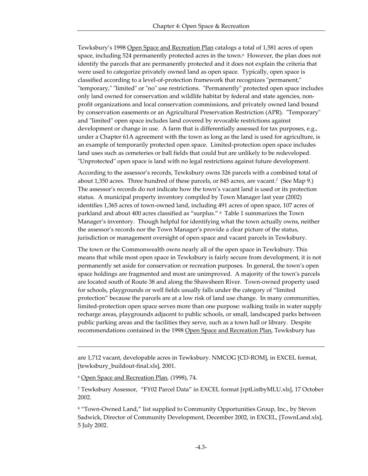Tewksbury's 1998 Open Space and Recreation Plan catalogs a total of 1,581 acres of open space, including 524 permanently protected acres in the town.<sup>6</sup> However, the plan does not identify the parcels that are permanently protected and it does not explain the criteria that were used to categorize privately owned land as open space. Typically, open space is classified according to a level-of-protection framework that recognizes "permanent," "temporary," "limited" or "no" use restrictions. "Permanently" protected open space includes only land owned for conservation and wildlife habitat by federal and state agencies, nonprofit organizations and local conservation commissions, and privately owned land bound by conservation easements or an Agricultural Preservation Restriction (APR). "Temporary" and "limited" open space includes land covered by revocable restrictions against development or change in use. A farm that is differentially assessed for tax purposes, e.g., under a Chapter 61A agreement with the town as long as the land is used for agriculture, is an example of temporarily protected open space. Limited-protection open space includes land uses such as cemeteries or ball fields that could but are unlikely to be redeveloped. "Unprotected" open space is land with no legal restrictions against future development.

According to the assessor's records, Tewksbury owns 326 parcels with a combined total of about 1,350 acres. Three hundred of these parcels, or 845 acres, are vacant.<sup>7</sup> (See Map 9.) The assessor's records do not indicate how the town's vacant land is used or its protection status. A municipal property inventory compiled by Town Manager last year (2002) identifies 1,365 acres of town-owned land, including 491 acres of open space, 107 acres of parkland and about 400 acres classified as "surplus." <sup>8</sup> Table 1 summarizes the Town Manager's inventory. Though helpful for identifying what the town actually owns, neither the assessor's records nor the Town Manager's provide a clear picture of the status, jurisdiction or management oversight of open space and vacant parcels in Tewksbury.

The town or the Commonwealth owns nearly all of the open space in Tewksbury. This means that while most open space in Tewksbury is fairly secure from development, it is not permanently set aside for conservation or recreation purposes. In general, the town's open space holdings are fragmented and most are unimproved. A majority of the town's parcels are located south of Route 38 and along the Shawsheen River. Town-owned property used for schools, playgrounds or well fields usually falls under the category of "limited protection" because the parcels are at a low risk of land use change. In many communities, limited-protection open space serves more than one purpose: walking trails in water supply recharge areas, playgrounds adjacent to public schools, or small, landscaped parks between public parking areas and the facilities they serve, such as a town hall or library. Despite recommendations contained in the 1998 Open Space and Recreation Plan, Tewksbury has

are 1,712 vacant, developable acres in Tewksbury. NMCOG [CD-ROM], in EXCEL format, [tewksbury\_buildout-final.xls], 2001.

<sup>6</sup> Open Space and Recreation Plan*,* (1998), 74.

<sup>7</sup> Tewksbury Assessor, "FY02 Parcel Data" in EXCEL format [rptListbyMLU.xls], 17 October 2002.

<sup>8</sup> "Town-Owned Land," list supplied to Community Opportunities Group, Inc., by Steven Sadwick, Director of Community Development, December 2002, in EXCEL, [TownLand.xls], 5 July 2002.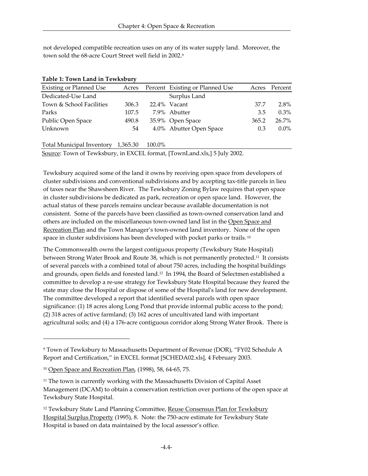not developed compatible recreation uses on any of its water supply land. Moreover, the town sold the 68-acre Court Street well field in 2002.<sup>9</sup>

| <b>Existing or Planned Use</b> | Acres | Percent Existing or Planned Use | Acres | Percent |
|--------------------------------|-------|---------------------------------|-------|---------|
| Dedicated-Use Land             |       | Surplus Land                    |       |         |
| Town & School Facilities       | 306.3 | 22.4% Vacant                    | 37.7  | 2.8%    |
| Parks                          | 107.5 | 7.9% Abutter                    | 3.5   | $0.3\%$ |
| Public Open Space              | 490.8 | 35.9% Open Space                | 365.2 | 26.7%   |
| Unknown                        | 54    | 4.0% Abutter Open Space         | 0.3   | $0.0\%$ |
|                                |       |                                 |       |         |

|  |  |  | Table 1: Town Land in Tewksbury |
|--|--|--|---------------------------------|
|--|--|--|---------------------------------|

Total Municipal Inventory 1,365.30 100.0%

Source: Town of Tewksbury, in EXCEL format, [TownLand.xls,] 5 July 2002.

Tewksbury acquired some of the land it owns by receiving open space from developers of cluster subdivisions and conventional subdivisions and by accepting tax-title parcels in lieu of taxes near the Shawsheen River. The Tewksbury Zoning Bylaw requires that open space in cluster subdivisions be dedicated as park, recreation or open space land. However, the actual status of these parcels remains unclear because available documentation is not consistent. Some of the parcels have been classified as town-owned conservation land and others are included on the miscellaneous town-owned land list in the Open Space and Recreation Plan and the Town Manager's town-owned land inventory. None of the open space in cluster subdivisions has been developed with pocket parks or trails.<sup>10</sup>

The Commonwealth owns the largest contiguous property (Tewksbury State Hospital) between Strong Water Brook and Route 38, which is not permanently protected.11 It consists of several parcels with a combined total of about 750 acres, including the hospital buildings and grounds, open fields and forested land.12 In 1994, the Board of Selectmen established a committee to develop a re-use strategy for Tewksbury State Hospital because they feared the state may close the Hospital or dispose of some of the Hospital's land for new development. The committee developed a report that identified several parcels with open space significance: (1) 18 acres along Long Pond that provide informal public access to the pond; (2) 318 acres of active farmland; (3) 162 acres of uncultivated land with important agricultural soils; and (4) a 176-acre contiguous corridor along Strong Water Brook. There is

<sup>9</sup> Town of Tewksbury to Massachusetts Department of Revenue (DOR), "FY02 Schedule A Report and Certification," in EXCEL format [SCHEDA02.xls], 4 February 2003.

<sup>10</sup> Open Space and Recreation Plan*,* (1998), 58, 64-65, 75.

<sup>&</sup>lt;sup>11</sup> The town is currently working with the Massachusetts Division of Capital Asset Management (DCAM) to obtain a conservation restriction over portions of the open space at Tewksbury State Hospital.

<sup>&</sup>lt;sup>12</sup> Tewksbury State Land Planning Committee, Reuse Consensus Plan for Tewksbury Hospital Surplus Property (1995), 8. Note: the 750-acre estimate for Tewksbury State Hospital is based on data maintained by the local assessor's office.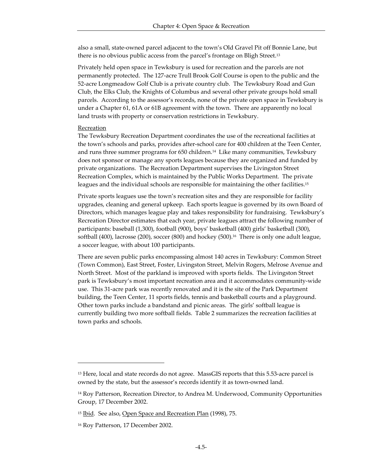also a small, state-owned parcel adjacent to the town's Old Gravel Pit off Bonnie Lane, but there is no obvious public access from the parcel's frontage on Bligh Street.<sup>13</sup>

Privately held open space in Tewksbury is used for recreation and the parcels are not permanently protected. The 127-acre Trull Brook Golf Course is open to the public and the 52-acre Longmeadow Golf Club is a private country club. The Tewksbury Road and Gun Club, the Elks Club, the Knights of Columbus and several other private groups hold small parcels. According to the assessor's records, none of the private open space in Tewksbury is under a Chapter 61, 61A or 61B agreement with the town. There are apparently no local land trusts with property or conservation restrictions in Tewksbury.

#### Recreation

The Tewksbury Recreation Department coordinates the use of the recreational facilities at the town's schools and parks, provides after-school care for 400 children at the Teen Center, and runs three summer programs for 650 children.14 Like many communities, Tewksbury does not sponsor or manage any sports leagues because they are organized and funded by private organizations. The Recreation Department supervises the Livingston Street Recreation Complex, which is maintained by the Public Works Department. The private leagues and the individual schools are responsible for maintaining the other facilities.<sup>15</sup>

Private sports leagues use the town's recreation sites and they are responsible for facility upgrades, cleaning and general upkeep. Each sports league is governed by its own Board of Directors, which manages league play and takes responsibility for fundraising. Tewksbury's Recreation Director estimates that each year, private leagues attract the following number of participants: baseball (1,300), football (900), boys' basketball (400) girls' basketball (300), softball (400), lacrosse (200), soccer (800) and hockey (500).<sup>16</sup> There is only one adult league, a soccer league, with about 100 participants.

There are seven public parks encompassing almost 140 acres in Tewksbury: Common Street (Town Common), East Street, Foster, Livingston Street, Melvin Rogers, Melrose Avenue and North Street. Most of the parkland is improved with sports fields. The Livingston Street park is Tewksbury's most important recreation area and it accommodates community-wide use. This 31-acre park was recently renovated and it is the site of the Park Department building, the Teen Center, 11 sports fields, tennis and basketball courts and a playground. Other town parks include a bandstand and picnic areas. The girls' softball league is currently building two more softball fields. Table 2 summarizes the recreation facilities at town parks and schools.

<sup>&</sup>lt;sup>13</sup> Here, local and state records do not agree. MassGIS reports that this 5.53-acre parcel is owned by the state, but the assessor's records identify it as town-owned land.

<sup>14</sup> Roy Patterson, Recreation Director, to Andrea M. Underwood, Community Opportunities Group, 17 December 2002.

<sup>&</sup>lt;sup>15</sup> Ibid. See also, Open Space and Recreation Plan (1998), 75.

<sup>16</sup> Roy Patterson, 17 December 2002.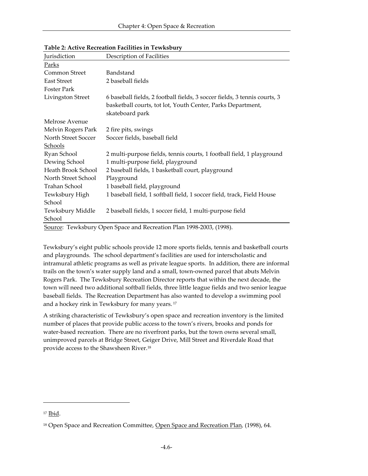| Jurisdiction        | Description of Facilities                                                 |
|---------------------|---------------------------------------------------------------------------|
| <u>Parks</u>        |                                                                           |
| Common Street       | Bandstand                                                                 |
| <b>East Street</b>  | 2 baseball fields                                                         |
| <b>Foster Park</b>  |                                                                           |
| Livingston Street   | 6 baseball fields, 2 football fields, 3 soccer fields, 3 tennis courts, 3 |
|                     | basketball courts, tot lot, Youth Center, Parks Department,               |
|                     | skateboard park                                                           |
| Melrose Avenue      |                                                                           |
| Melvin Rogers Park  | 2 fire pits, swings                                                       |
| North Street Soccer | Soccer fields, baseball field                                             |
| Schools             |                                                                           |
| Ryan School         | 2 multi-purpose fields, tennis courts, 1 football field, 1 playground     |
| Dewing School       | 1 multi-purpose field, playground                                         |
| Heath Brook School  | 2 baseball fields, 1 basketball court, playground                         |
| North Street School | Playground                                                                |
| Trahan School       | 1 baseball field, playground                                              |
| Tewksbury High      | 1 baseball field, 1 softball field, 1 soccer field, track, Field House    |
| School              |                                                                           |
| Tewksbury Middle    | 2 baseball fields, 1 soccer field, 1 multi-purpose field                  |
| School              |                                                                           |

**Table 2: Active Recreation Facilities in Tewksbury**

Source: Tewksbury Open Space and Recreation Plan 1998-2003, (1998).

Tewksbury's eight public schools provide 12 more sports fields, tennis and basketball courts and playgrounds. The school department's facilities are used for interscholastic and intramural athletic programs as well as private league sports. In addition, there are informal trails on the town's water supply land and a small, town-owned parcel that abuts Melvin Rogers Park. The Tewksbury Recreation Director reports that within the next decade, the town will need two additional softball fields, three little league fields and two senior league baseball fields. The Recreation Department has also wanted to develop a swimming pool and a hockey rink in Tewksbury for many years. <sup>17</sup>

A striking characteristic of Tewksbury's open space and recreation inventory is the limited number of places that provide public access to the town's rivers, brooks and ponds for water-based recreation. There are no riverfront parks, but the town owns several small, unimproved parcels at Bridge Street, Geiger Drive, Mill Street and Riverdale Road that provide access to the Shawsheen River.<sup>18</sup>

<sup>17</sup> Ibid.

<sup>18</sup> Open Space and Recreation Committee, Open Space and Recreation Plan*,* (1998), 64.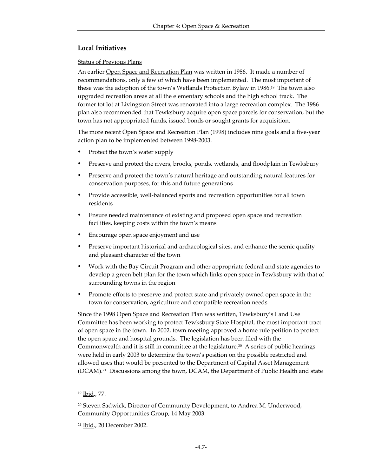## **Local Initiatives**

## Status of Previous Plans

An earlier Open Space and Recreation Plan was written in 1986. It made a number of recommendations, only a few of which have been implemented. The most important of these was the adoption of the town's Wetlands Protection Bylaw in 1986.<sup>19</sup> The town also upgraded recreation areas at all the elementary schools and the high school track. The former tot lot at Livingston Street was renovated into a large recreation complex. The 1986 plan also recommended that Tewksbury acquire open space parcels for conservation, but the town has not appropriated funds, issued bonds or sought grants for acquisition.

The more recent Open Space and Recreation Plan (1998) includes nine goals and a five-year action plan to be implemented between 1998-2003.

- Protect the town's water supply
- Preserve and protect the rivers, brooks, ponds, wetlands, and floodplain in Tewksbury
- Preserve and protect the town's natural heritage and outstanding natural features for conservation purposes, for this and future generations
- Provide accessible, well-balanced sports and recreation opportunities for all town residents
- Ensure needed maintenance of existing and proposed open space and recreation facilities, keeping costs within the town's means
- Encourage open space enjoyment and use
- Preserve important historical and archaeological sites, and enhance the scenic quality and pleasant character of the town
- Work with the Bay Circuit Program and other appropriate federal and state agencies to develop a green belt plan for the town which links open space in Tewksbury with that of surrounding towns in the region
- Promote efforts to preserve and protect state and privately owned open space in the town for conservation, agriculture and compatible recreation needs

Since the 1998 Open Space and Recreation Plan was written, Tewksbury's Land Use Committee has been working to protect Tewksbury State Hospital, the most important tract of open space in the town. In 2002, town meeting approved a home rule petition to protect the open space and hospital grounds. The legislation has been filed with the Commonwealth and it is still in committee at the legislature.<sup>20</sup> A series of public hearings were held in early 2003 to determine the town's position on the possible restricted and allowed uses that would be presented to the Department of Capital Asset Management (DCAM).21 Discussions among the town, DCAM, the Department of Public Health and state

<sup>19</sup> Ibid., 77.

<sup>20</sup> Steven Sadwick, Director of Community Development, to Andrea M. Underwood, Community Opportunities Group, 14 May 2003.

<sup>21</sup> Ibid., 20 December 2002.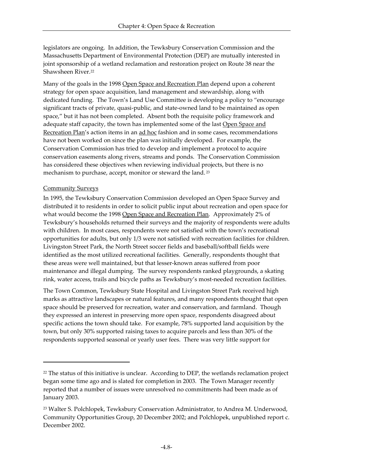legislators are ongoing. In addition, the Tewksbury Conservation Commission and the Massachusetts Department of Environmental Protection (DEP) are mutually interested in joint sponsorship of a wetland reclamation and restoration project on Route 38 near the Shawsheen River.<sup>22</sup>

Many of the goals in the 1998 Open Space and Recreation Plan depend upon a coherent strategy for open space acquisition, land management and stewardship, along with dedicated funding. The Town's Land Use Committee is developing a policy to "encourage significant tracts of private, quasi-public, and state-owned land to be maintained as open space," but it has not been completed. Absent both the requisite policy framework and adequate staff capacity, the town has implemented some of the last Open Space and Recreation Plan's action items in an ad hoc fashion and in some cases, recommendations have not been worked on since the plan was initially developed. For example, the Conservation Commission has tried to develop and implement a protocol to acquire conservation easements along rivers, streams and ponds. The Conservation Commission has considered these objectives when reviewing individual projects, but there is no mechanism to purchase, accept, monitor or steward the land. <sup>23</sup>

### Community Surveys

 $\overline{\phantom{a}}$ 

In 1995, the Tewksbury Conservation Commission developed an Open Space Survey and distributed it to residents in order to solicit public input about recreation and open space for what would become the 1998 Open Space and Recreation Plan. Approximately 2% of Tewksbury's households returned their surveys and the majority of respondents were adults with children. In most cases, respondents were not satisfied with the town's recreational opportunities for adults, but only 1/3 were not satisfied with recreation facilities for children. Livingston Street Park, the North Street soccer fields and baseball/softball fields were identified as the most utilized recreational facilities. Generally, respondents thought that these areas were well maintained, but that lesser-known areas suffered from poor maintenance and illegal dumping. The survey respondents ranked playgrounds, a skating rink, water access, trails and bicycle paths as Tewksbury's most-needed recreation facilities.

The Town Common, Tewksbury State Hospital and Livingston Street Park received high marks as attractive landscapes or natural features, and many respondents thought that open space should be preserved for recreation, water and conservation, and farmland. Though they expressed an interest in preserving more open space, respondents disagreed about specific actions the town should take. For example, 78% supported land acquisition by the town, but only 30% supported raising taxes to acquire parcels and less than 30% of the respondents supported seasonal or yearly user fees. There was very little support for

 $22$  The status of this initiative is unclear. According to DEP, the wetlands reclamation project began some time ago and is slated for completion in 2003. The Town Manager recently reported that a number of issues were unresolved no commitments had been made as of January 2003.

<sup>23</sup> Walter S. Polchlopek, Tewksbury Conservation Administrator, to Andrea M. Underwood, Community Opportunities Group, 20 December 2002; and Polchlopek, unpublished report c. December 2002.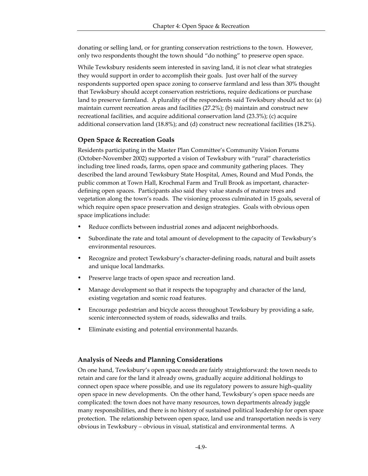donating or selling land, or for granting conservation restrictions to the town. However, only two respondents thought the town should "do nothing" to preserve open space.

While Tewksbury residents seem interested in saving land, it is not clear what strategies they would support in order to accomplish their goals. Just over half of the survey respondents supported open space zoning to conserve farmland and less than 30% thought that Tewksbury should accept conservation restrictions, require dedications or purchase land to preserve farmland. A plurality of the respondents said Tewksbury should act to: (a) maintain current recreation areas and facilities (27.2%); (b) maintain and construct new recreational facilities, and acquire additional conservation land (23.3%); (c) acquire additional conservation land (18.8%); and (d) construct new recreational facilities (18.2%).

## **Open Space & Recreation Goals**

Residents participating in the Master Plan Committee's Community Vision Forums (October-November 2002) supported a vision of Tewksbury with "rural" characteristics including tree lined roads, farms, open space and community gathering places. They described the land around Tewksbury State Hospital, Ames, Round and Mud Ponds, the public common at Town Hall, Krochmal Farm and Trull Brook as important, characterdefining open spaces. Participants also said they value stands of mature trees and vegetation along the town's roads. The visioning process culminated in 15 goals, several of which require open space preservation and design strategies. Goals with obvious open space implications include:

- Reduce conflicts between industrial zones and adjacent neighborhoods.
- Subordinate the rate and total amount of development to the capacity of Tewksbury's environmental resources.
- Recognize and protect Tewksbury's character-defining roads, natural and built assets and unique local landmarks.
- Preserve large tracts of open space and recreation land.
- Manage development so that it respects the topography and character of the land, existing vegetation and scenic road features.
- ü Encourage pedestrian and bicycle access throughout Tewksbury by providing a safe, scenic interconnected system of roads, sidewalks and trails.
- Eliminate existing and potential environmental hazards.

## **Analysis of Needs and Planning Considerations**

On one hand, Tewksbury's open space needs are fairly straightforward: the town needs to retain and care for the land it already owns, gradually acquire additional holdings to connect open space where possible, and use its regulatory powers to assure high-quality open space in new developments. On the other hand, Tewksbury's open space needs are complicated: the town does not have many resources, town departments already juggle many responsibilities, and there is no history of sustained political leadership for open space protection. The relationship between open space, land use and transportation needs is very obvious in Tewksbury – obvious in visual, statistical and environmental terms. A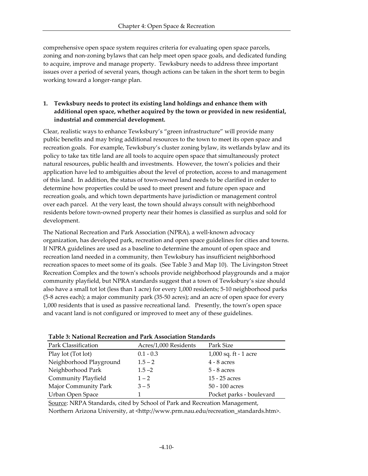comprehensive open space system requires criteria for evaluating open space parcels, zoning and non-zoning bylaws that can help meet open space goals, and dedicated funding to acquire, improve and manage property. Tewksbury needs to address three important issues over a period of several years, though actions can be taken in the short term to begin working toward a longer-range plan.

## **1. Tewksbury needs to protect its existing land holdings and enhance them with additional open space, whether acquired by the town or provided in new residential, industrial and commercial development.**

Clear, realistic ways to enhance Tewksbury's "green infrastructure" will provide many public benefits and may bring additional resources to the town to meet its open space and recreation goals. For example, Tewksbury's cluster zoning bylaw, its wetlands bylaw and its policy to take tax title land are all tools to acquire open space that simultaneously protect natural resources, public health and investments. However, the town's policies and their application have led to ambiguities about the level of protection, access to and management of this land. In addition, the status of town-owned land needs to be clarified in order to determine how properties could be used to meet present and future open space and recreation goals, and which town departments have jurisdiction or management control over each parcel. At the very least, the town should always consult with neighborhood residents before town-owned property near their homes is classified as surplus and sold for development.

The National Recreation and Park Association (NPRA), a well-known advocacy organization, has developed park, recreation and open space guidelines for cities and towns. If NPRA guidelines are used as a baseline to determine the amount of open space and recreation land needed in a community, then Tewksbury has insufficient neighborhood recreation spaces to meet some of its goals. (See Table 3 and Map 10). The Livingston Street Recreation Complex and the town's schools provide neighborhood playgrounds and a major community playfield, but NPRA standards suggest that a town of Tewksbury's size should also have a small tot lot (less than 1 acre) for every 1,000 residents; 5-10 neighborhood parks (5-8 acres each); a major community park (35-50 acres); and an acre of open space for every 1,000 residents that is used as passive recreational land. Presently, the town's open space and vacant land is not configured or improved to meet any of these guidelines.

| Park Classification     | Acres/1,000 Residents | Park Size                |  |  |  |
|-------------------------|-----------------------|--------------------------|--|--|--|
| Play lot (Tot lot)      | $0.1 - 0.3$           | 1,000 sq. ft - 1 acre    |  |  |  |
| Neighborhood Playground | $1.5 - 2$             | $4 - 8$ acres            |  |  |  |
| Neighborhood Park       | $1.5 - 2$             | $5 - 8$ acres            |  |  |  |
| Community Playfield     | $1 - 2$               | 15 - 25 acres            |  |  |  |
| Major Community Park    | $3 - 5$               | $50 - 100$ acres         |  |  |  |
| Urban Open Space        |                       | Pocket parks - boulevard |  |  |  |

| Table 3: National Recreation and Park Association Standards |  |
|-------------------------------------------------------------|--|
|-------------------------------------------------------------|--|

Source: NRPA Standards, cited by School of Park and Recreation Management, Northern Arizona University, at <http://www.prm.nau.edu/recreation\_standards.htm>.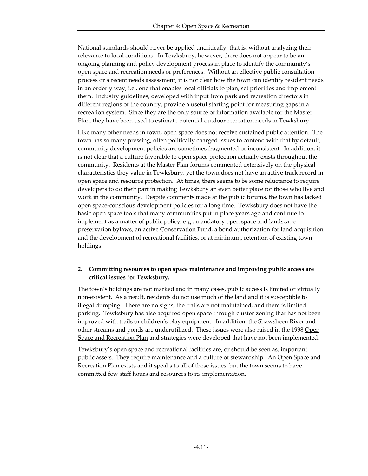National standards should never be applied uncritically, that is, without analyzing their relevance to local conditions. In Tewksbury, however, there does not appear to be an ongoing planning and policy development process in place to identify the community's open space and recreation needs or preferences. Without an effective public consultation process or a recent needs assessment, it is not clear how the town can identify resident needs in an orderly way, i.e., one that enables local officials to plan, set priorities and implement them. Industry guidelines, developed with input from park and recreation directors in different regions of the country, provide a useful starting point for measuring gaps in a recreation system. Since they are the only source of information available for the Master Plan, they have been used to estimate potential outdoor recreation needs in Tewksbury.

Like many other needs in town, open space does not receive sustained public attention. The town has so many pressing, often politically charged issues to contend with that by default, community development policies are sometimes fragmented or inconsistent. In addition, it is not clear that a culture favorable to open space protection actually exists throughout the community. Residents at the Master Plan forums commented extensively on the physical characteristics they value in Tewksbury, yet the town does not have an active track record in open space and resource protection. At times, there seems to be some reluctance to require developers to do their part in making Tewksbury an even better place for those who live and work in the community. Despite comments made at the public forums, the town has lacked open space-conscious development policies for a long time. Tewksbury does not have the basic open space tools that many communities put in place years ago and continue to implement as a matter of public policy, e.g., mandatory open space and landscape preservation bylaws, an active Conservation Fund, a bond authorization for land acquisition and the development of recreational facilities, or at minimum, retention of existing town holdings.

## *2.* **Committing resources to open space maintenance and improving public access are critical issues for Tewksbury.**

The town's holdings are not marked and in many cases, public access is limited or virtually non-existent. As a result, residents do not use much of the land and it is susceptible to illegal dumping. There are no signs, the trails are not maintained, and there is limited parking. Tewksbury has also acquired open space through cluster zoning that has not been improved with trails or children's play equipment. In addition, the Shawsheen River and other streams and ponds are underutilized. These issues were also raised in the 1998 Open Space and Recreation Plan and strategies were developed that have not been implemented.

Tewksbury's open space and recreational facilities are, or should be seen as, important public assets. They require maintenance and a culture of stewardship. An Open Space and Recreation Plan exists and it speaks to all of these issues, but the town seems to have committed few staff hours and resources to its implementation.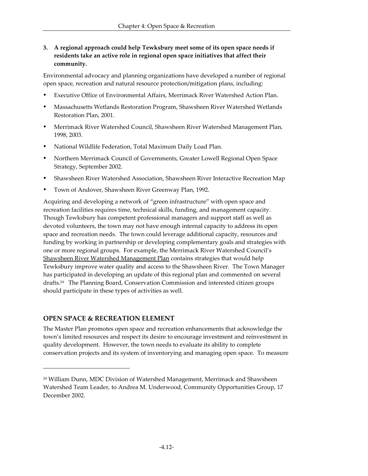**3. A regional approach could help Tewksbury meet some of its open space needs if residents take an active role in regional open space initiatives that affect their community.**

Environmental advocacy and planning organizations have developed a number of regional open space, recreation and natural resource protection/mitigation plans, including:

- ü Executive Office of Environmental Affairs, Merrimack River Watershed Action Plan.
- ü Massachusetts Wetlands Restoration Program, Shawsheen River Watershed Wetlands Restoration Plan, 2001.
- ü Merrimack River Watershed Council, Shawsheen River Watershed Management Plan, 1998, 2003.
- ü National Wildlife Federation, Total Maximum Daily Load Plan.
- ü Northern Merrimack Council of Governments, Greater Lowell Regional Open Space Strategy, September 2002.
- ü Shawsheen River Watershed Association, Shawsheen River Interactive Recreation Map
- ü Town of Andover, Shawsheen River Greenway Plan, 1992.

Acquiring and developing a network of "green infrastructure" with open space and recreation facilities requires time, technical skills, funding, and management capacity. Though Tewksbury has competent professional managers and support staff as well as devoted volunteers, the town may not have enough internal capacity to address its open space and recreation needs. The town could leverage additional capacity, resources and funding by working in partnership or developing complementary goals and strategies with one or more regional groups. For example, the Merrimack River Watershed Council's Shawsheen River Watershed Management Plan contains strategies that would help Tewksbury improve water quality and access to the Shawsheen River. The Town Manager has participated in developing an update of this regional plan and commented on several drafts.24 The Planning Board, Conservation Commission and interested citizen groups should participate in these types of activities as well.

## **OPEN SPACE & RECREATION ELEMENT**

 $\overline{a}$ 

The Master Plan promotes open space and recreation enhancements that acknowledge the town's limited resources and respect its desire to encourage investment and reinvestment in quality development. However, the town needs to evaluate its ability to complete conservation projects and its system of inventorying and managing open space. To measure

<sup>24</sup> William Dunn, MDC Division of Watershed Management, Merrimack and Shawsheen Watershed Team Leader, to Andrea M. Underwood, Community Opportunities Group, 17 December 2002.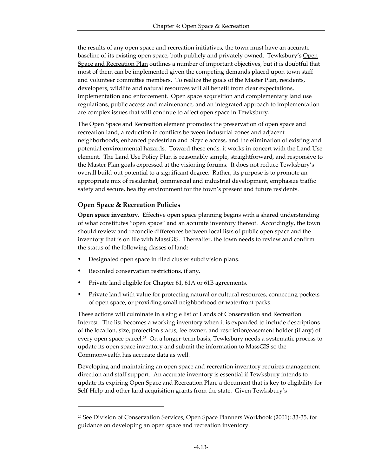the results of any open space and recreation initiatives, the town must have an accurate baseline of its existing open space, both publicly and privately owned. Tewksbury's Open Space and Recreation Plan outlines a number of important objectives, but it is doubtful that most of them can be implemented given the competing demands placed upon town staff and volunteer committee members. To realize the goals of the Master Plan, residents, developers, wildlife and natural resources will all benefit from clear expectations, implementation and enforcement. Open space acquisition and complementary land use regulations, public access and maintenance, and an integrated approach to implementation are complex issues that will continue to affect open space in Tewksbury.

The Open Space and Recreation element promotes the preservation of open space and recreation land, a reduction in conflicts between industrial zones and adjacent neighborhoods, enhanced pedestrian and bicycle access, and the elimination of existing and potential environmental hazards. Toward these ends, it works in concert with the Land Use element. The Land Use Policy Plan is reasonably simple, straightforward, and responsive to the Master Plan goals expressed at the visioning forums. It does not reduce Tewksbury's overall build-out potential to a significant degree. Rather, its purpose is to promote an appropriate mix of residential, commercial and industrial development, emphasize traffic safety and secure, healthy environment for the town's present and future residents.

## **Open Space & Recreation Policies**

**Open space inventory**. Effective open space planning begins with a shared understanding of what constitutes "open space" and an accurate inventory thereof. Accordingly, the town should review and reconcile differences between local lists of public open space and the inventory that is on file with MassGIS. Thereafter, the town needs to review and confirm the status of the following classes of land:

- Designated open space in filed cluster subdivision plans.
- Recorded conservation restrictions, if any.

-

- Private land eligible for Chapter 61, 61A or 61B agreements.
- Private land with value for protecting natural or cultural resources, connecting pockets of open space, or providing small neighborhood or waterfront parks.

These actions will culminate in a single list of Lands of Conservation and Recreation Interest. The list becomes a working inventory when it is expanded to include descriptions of the location, size, protection status, fee owner, and restriction/easement holder (if any) of every open space parcel.<sup>25</sup> On a longer-term basis, Tewksbury needs a systematic process to update its open space inventory and submit the information to MassGIS so the Commonwealth has accurate data as well.

Developing and maintaining an open space and recreation inventory requires management direction and staff support. An accurate inventory is essential if Tewksbury intends to update its expiring Open Space and Recreation Plan, a document that is key to eligibility for Self-Help and other land acquisition grants from the state. Given Tewksbury's

<sup>&</sup>lt;sup>25</sup> See Division of Conservation Services, Open Space Planners Workbook (2001): 33-35, for guidance on developing an open space and recreation inventory.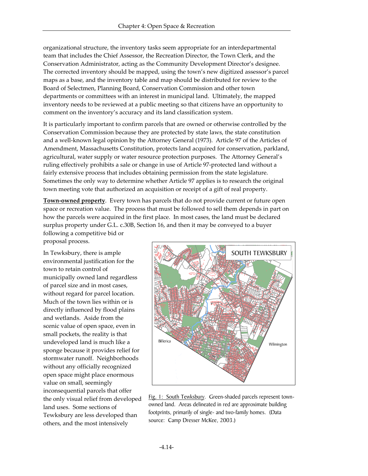organizational structure, the inventory tasks seem appropriate for an interdepartmental team that includes the Chief Assessor, the Recreation Director, the Town Clerk, and the Conservation Administrator, acting as the Community Development Director's designee. The corrected inventory should be mapped, using the town's new digitized assessor's parcel maps as a base, and the inventory table and map should be distributed for review to the Board of Selectmen, Planning Board, Conservation Commission and other town departments or committees with an interest in municipal land. Ultimately, the mapped inventory needs to be reviewed at a public meeting so that citizens have an opportunity to comment on the inventory's accuracy and its land classification system.

It is particularly important to confirm parcels that are owned or otherwise controlled by the Conservation Commission because they are protected by state laws, the state constitution and a well-known legal opinion by the Attorney General (1973). Article 97 of the Articles of Amendment, Massachusetts Constitution, protects land acquired for conservation, parkland, agricultural, water supply or water resource protection purposes. The Attorney General's ruling effectively prohibits a sale or change in use of Article 97-protected land without a fairly extensive process that includes obtaining permission from the state legislature. Sometimes the only way to determine whether Article 97 applies is to research the original town meeting vote that authorized an acquisition or receipt of a gift of real property.

**Town-owned property**. Every town has parcels that do not provide current or future open space or recreation value. The process that must be followed to sell them depends in part on how the parcels were acquired in the first place. In most cases, the land must be declared surplus property under G.L. c.30B, Section 16, and then it may be conveyed to a buyer following a competitive bid or

proposal process.

In Tewksbury, there is ample environmental justification for the town to retain control of municipally owned land regardless of parcel size and in most cases, without regard for parcel location. Much of the town lies within or is directly influenced by flood plains and wetlands. Aside from the scenic value of open space, even in small pockets, the reality is that undeveloped land is much like a sponge because it provides relief for stormwater runoff. Neighborhoods without any officially recognized open space might place enormous value on small, seemingly inconsequential parcels that offer the only visual relief from developed land uses. Some sections of Tewksbury are less developed than others, and the most intensively



Fig. 1: South Tewksbury. Green-shaded parcels represent townowned land. Areas delineated in red are approximate building footprints, primarily of single- and two-family homes. (Data source: Camp Dresser McKee, 2003.)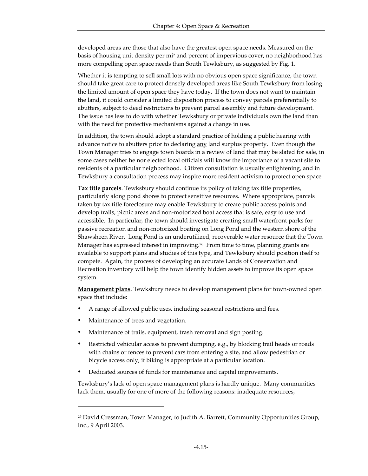developed areas are those that also have the greatest open space needs. Measured on the basis of housing unit density per mi<sup>2</sup> and percent of impervious cover, no neighborhood has more compelling open space needs than South Tewksbury, as suggested by Fig. 1.

Whether it is tempting to sell small lots with no obvious open space significance, the town should take great care to protect densely developed areas like South Tewksbury from losing the limited amount of open space they have today. If the town does not want to maintain the land, it could consider a limited disposition process to convey parcels preferentially to abutters, subject to deed restrictions to prevent parcel assembly and future development. The issue has less to do with whether Tewksbury or private individuals own the land than with the need for protective mechanisms against a change in use.

In addition, the town should adopt a standard practice of holding a public hearing with advance notice to abutters prior to declaring <u>any</u> land surplus property. Even though the Town Manager tries to engage town boards in a review of land that may be slated for sale, in some cases neither he nor elected local officials will know the importance of a vacant site to residents of a particular neighborhood. Citizen consultation is usually enlightening, and in Tewksbury a consultation process may inspire more resident activism to protect open space.

**Tax title parcels**. Tewksbury should continue its policy of taking tax title properties, particularly along pond shores to protect sensitive resources. Where appropriate, parcels taken by tax title foreclosure may enable Tewksbury to create public access points and develop trails, picnic areas and non-motorized boat access that is safe, easy to use and accessible. In particular, the town should investigate creating small waterfront parks for passive recreation and non-motorized boating on Long Pond and the western shore of the Shawsheen River. Long Pond is an underutilized, recoverable water resource that the Town Manager has expressed interest in improving.<sup>26</sup> From time to time, planning grants are available to support plans and studies of this type, and Tewksbury should position itself to compete. Again, the process of developing an accurate Lands of Conservation and Recreation inventory will help the town identify hidden assets to improve its open space system.

**Management plans**. Tewksbury needs to develop management plans for town-owned open space that include:

- A range of allowed public uses, including seasonal restrictions and fees.
- Maintenance of trees and vegetation.

-

- Maintenance of trails, equipment, trash removal and sign posting.
- Restricted vehicular access to prevent dumping, e.g., by blocking trail heads or roads with chains or fences to prevent cars from entering a site, and allow pedestrian or bicycle access only, if biking is appropriate at a particular location.
- Dedicated sources of funds for maintenance and capital improvements.

Tewksbury's lack of open space management plans is hardly unique. Many communities lack them, usually for one of more of the following reasons: inadequate resources,

<sup>&</sup>lt;sup>26</sup> David Cressman, Town Manager, to Judith A. Barrett, Community Opportunities Group, Inc., 9 April 2003.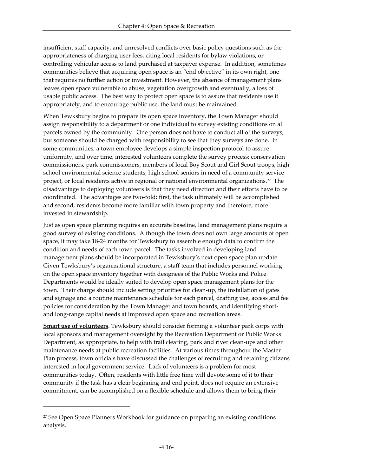insufficient staff capacity, and unresolved conflicts over basic policy questions such as the appropriateness of charging user fees, citing local residents for bylaw violations, or controlling vehicular access to land purchased at taxpayer expense. In addition, sometimes communities believe that acquiring open space is an "end objective" in its own right, one that requires no further action or investment. However, the absence of management plans leaves open space vulnerable to abuse, vegetation overgrowth and eventually, a loss of usable public access. The best way to protect open space is to assure that residents use it appropriately, and to encourage public use, the land must be maintained.

When Tewksbury begins to prepare its open space inventory, the Town Manager should assign responsibility to a department or one individual to survey existing conditions on all parcels owned by the community. One person does not have to conduct all of the surveys, but someone should be charged with responsibility to see that they surveys are done. In some communities, a town employee develops a simple inspection protocol to assure uniformity, and over time, interested volunteers complete the survey process: conservation commissioners, park commissioners, members of local Boy Scout and Girl Scout troops, high school environmental science students, high school seniors in need of a community service project, or local residents active in regional or national environmental organizations.<sup>27</sup> The disadvantage to deploying volunteers is that they need direction and their efforts have to be coordinated. The advantages are two-fold: first, the task ultimately will be accomplished and second, residents become more familiar with town property and therefore, more invested in stewardship.

Just as open space planning requires an accurate baseline, land management plans require a good survey of existing conditions. Although the town does not own large amounts of open space, it may take 18-24 months for Tewksbury to assemble enough data to confirm the condition and needs of each town parcel. The tasks involved in developing land management plans should be incorporated in Tewksbury's next open space plan update. Given Tewksbury's organizational structure, a staff team that includes personnel working on the open space inventory together with designees of the Public Works and Police Departments would be ideally suited to develop open space management plans for the town. Their charge should include setting priorities for clean-up, the installation of gates and signage and a routine maintenance schedule for each parcel, drafting use, access and fee policies for consideration by the Town Manager and town boards, and identifying shortand long-range capital needs at improved open space and recreation areas.

**Smart use of volunteers**. Tewksbury should consider forming a volunteer park corps with local sponsors and management oversight by the Recreation Department or Public Works Department, as appropriate, to help with trail clearing, park and river clean-ups and other maintenance needs at public recreation facilities. At various times throughout the Master Plan process, town officials have discussed the challenges of recruiting and retaining citizens interested in local government service. Lack of volunteers is a problem for most communities today. Often, residents with little free time will devote some of it to their community if the task has a clear beginning and end point, does not require an extensive commitment, can be accomplished on a flexible schedule and allows them to bring their

 $\overline{a}$ 

<sup>27</sup> See Open Space Planners Workbook for guidance on preparing an existing conditions analysis.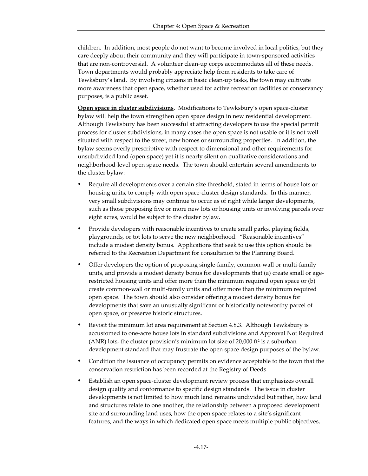children. In addition, most people do not want to become involved in local politics, but they care deeply about their community and they will participate in town-sponsored activities that are non-controversial. A volunteer clean-up corps accommodates all of these needs. Town departments would probably appreciate help from residents to take care of Tewksbury's land. By involving citizens in basic clean-up tasks, the town may cultivate more awareness that open space, whether used for active recreation facilities or conservancy purposes, is a public asset.

**Open space in cluster subdivisions**. Modifications to Tewksbury's open space-cluster bylaw will help the town strengthen open space design in new residential development. Although Tewksbury has been successful at attracting developers to use the special permit process for cluster subdivisions, in many cases the open space is not usable or it is not well situated with respect to the street, new homes or surrounding properties. In addition, the bylaw seems overly prescriptive with respect to dimensional and other requirements for unsubdivided land (open space) yet it is nearly silent on qualitative considerations and neighborhood-level open space needs. The town should entertain several amendments to the cluster bylaw:

- ü Require all developments over a certain size threshold, stated in terms of house lots or housing units, to comply with open space-cluster design standards. In this manner, very small subdivisions may continue to occur as of right while larger developments, such as those proposing five or more new lots or housing units or involving parcels over eight acres, would be subject to the cluster bylaw.
- Provide developers with reasonable incentives to create small parks, playing fields, playgrounds, or tot lots to serve the new neighborhood. "Reasonable incentives" include a modest density bonus. Applications that seek to use this option should be referred to the Recreation Department for consultation to the Planning Board.
- Offer developers the option of proposing single-family, common-wall or multi-family units, and provide a modest density bonus for developments that (a) create small or agerestricted housing units and offer more than the minimum required open space or (b) create common-wall or multi-family units and offer more than the minimum required open space. The town should also consider offering a modest density bonus for developments that save an unusually significant or historically noteworthy parcel of open space, or preserve historic structures.
- Revisit the minimum lot area requirement at Section 4.8.3. Although Tewksbury is accustomed to one-acre house lots in standard subdivisions and Approval Not Required (ANR) lots, the cluster provision's minimum lot size of 20,000 ft<sup>2</sup> is a suburban development standard that may frustrate the open space design purposes of the bylaw.
- Condition the issuance of occupancy permits on evidence acceptable to the town that the conservation restriction has been recorded at the Registry of Deeds.
- ü Establish an open space-cluster development review process that emphasizes overall design quality and conformance to specific design standards. The issue in cluster developments is not limited to how much land remains undivided but rather, how land and structures relate to one another, the relationship between a proposed development site and surrounding land uses, how the open space relates to a site's significant features, and the ways in which dedicated open space meets multiple public objectives,